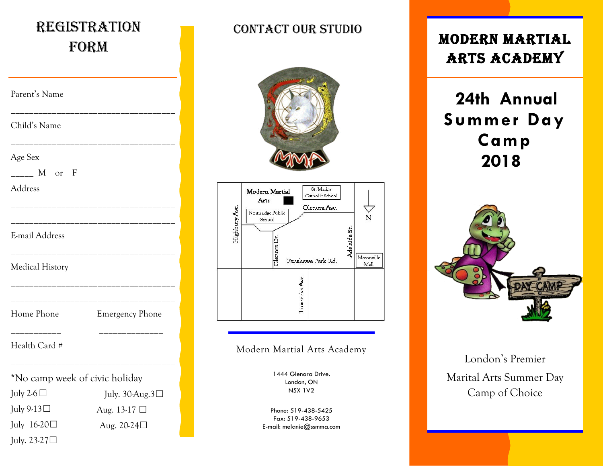| <b>REGISTRATION</b><br>FORM    |                        |
|--------------------------------|------------------------|
| Parent's Name                  |                        |
| Child's Name                   |                        |
| Age Sex<br>M or F<br>Address   |                        |
| E-mail Address                 |                        |
| <b>Medical History</b>         |                        |
| Home Phone                     | <b>Emergency Phone</b> |
| Health Card #                  |                        |
| *No camp week of civic holiday |                        |
| July 2-6 $\Box$                | July. 30-Aug.3□        |
| July 9-13□                     | Aug. 13-17 $\Box$      |
| July $16-20$                   | Aug. 20-24□            |
| July. $23-27\square$           |                        |

#### CONTACT OUR STUDIO





#### Modern Martial Arts Academy

1444 Glenora Drive. London, ON N5X 1V2

Phone: 519-438-5425 Fax: 519-438-9653 E-mail: melanie@ssmma.com

## Modern Martial Arts Academy

# **24th Annual Summer Day Camp 2018**



### London's Premier Marital Arts Summer Day Camp of Choice